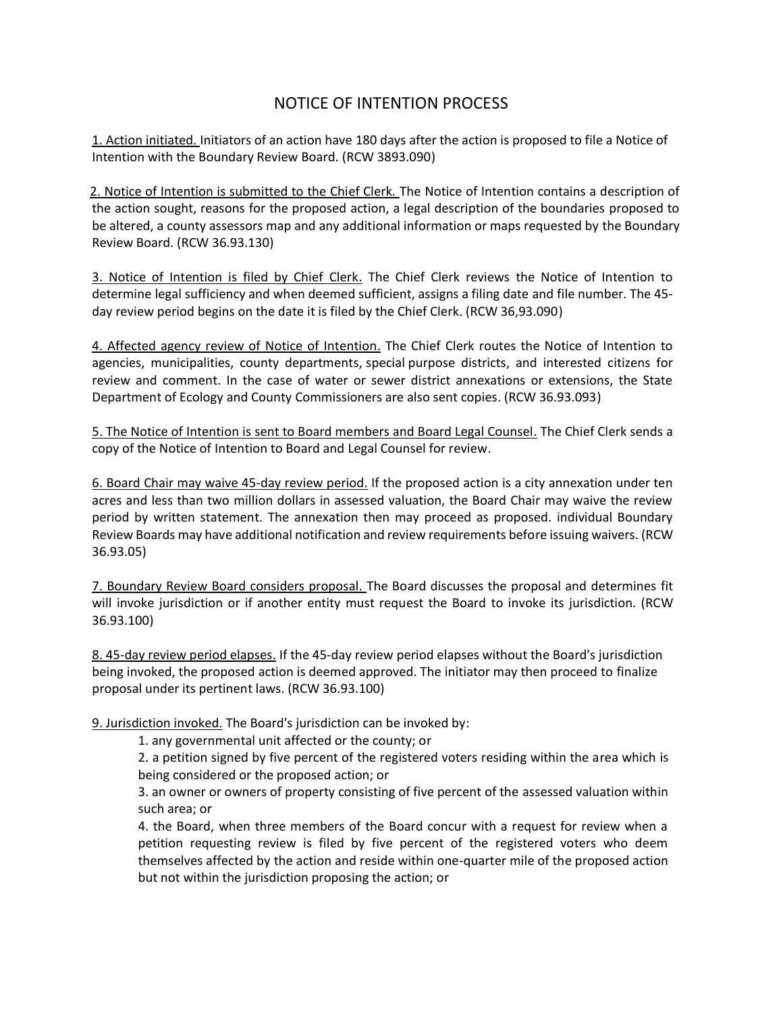## NOTICE OF INTENTION PROCESS

1. Action initiated. Initiators of an action have 180 days after the action is proposed to file a Notice of Intention with the Boundary Review Board. (RCW 3893.090)

2. Notice of Intention is submitted to the Chief Clerk. The Notice of Intention contains a description of the action sought, reasons for the proposed action, a legal description of the boundaries proposed to be altered, a county assessors map and any additional information or maps requested by the Boundary Review Board. (RCW 36.93.130)

3. Notice of Intention is filed by Chief Clerk. The Chief Clerk reviews the Notice of Intention to determine legal sufficiency and when deemed sufficient, assigns a filing date and file number. The 45 day review period begins on the date it is filed by the Chief Clerk. (RCW 36,93.090)

4. Affected agency review of Notice of Intention. The Chief Clerk routes the Notice of Intention to agencies, municipalities, county departments, special purpose districts, and interested citizens for review and comment. In the case of water or sewer district annexations or extensions, the State Department of Ecology and County Commissioners are also sent copies. (RCW 36.93.093)

5. The Notice of Intention is sent to Board members and Board Legal Counsel. The Chief Clerk sends a copy of the Notice of Intention to Board and Legal Counsel for review.

6. Board Chair may waive 45-day review period. If the proposed action is a city annexation under ten acres and less than two million dollars in assessed valuation, the Board Chair may waive the review period by written statement. The annexation then may proceed as proposed. individual Boundary Review Boards may have additional notification and review requirements before issuing waivers. (RCW 36.93.05)

7. Boundary Review Board considers proposal. The Board discusses the proposal and determines fit will invoke jurisdiction or if another entity must request the Board to invoke its jurisdiction. (RCW 36.93.100)

8. 45-day review period elapses. If the 45-day review period elapses without the Board's jurisdiction being invoked, the proposed action is deemed approved. The initiator may then proceed to finalize proposal under its pertinent laws. (RCW 36.93.100)

9. Jurisdiction invoked. The Board's jurisdiction can be invoked by:

1. any governmental unit affected or the county; or

2. a petition signed by five percent of the registered voters residing within the area which is being considered or the proposed action; or

3. an owner or owners of property consisting of five percent of the assessed valuation within such area; or

4. the Board, when three members of the Board concur with a request for review when a petition requesting review is filed by five percent of the registered voters who deem themselves affected by the action and reside within one-quarter mile of the proposed action but not within the jurisdiction proposing the action; or